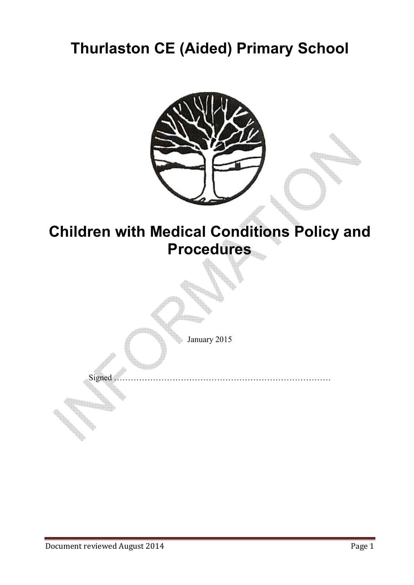# **Thurlaston CE (Aided) Primary School**



## **Children with Medical Conditions Policy and Procedures**

January 2015

Signed ……………………………………………………………………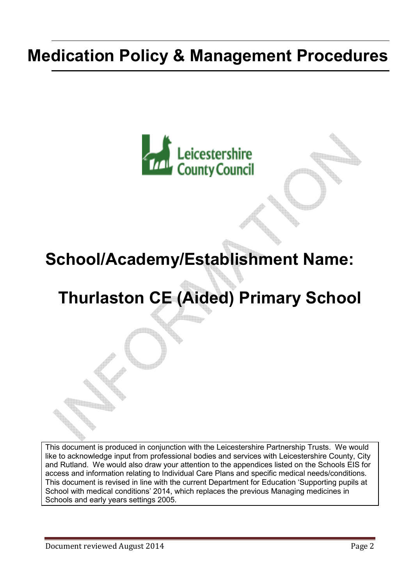# **Medication Policy & Management Procedures**



# **School/Academy/Establishment Name:**

# **Thurlaston CE (Aided) Primary School**

This document is produced in conjunction with the Leicestershire Partnership Trusts. We would like to acknowledge input from professional bodies and services with Leicestershire County, City and Rutland. We would also draw your attention to the appendices listed on the Schools EIS for access and information relating to Individual Care Plans and specific medical needs/conditions. This document is revised in line with the current Department for Education 'Supporting pupils at School with medical conditions' 2014, which replaces the previous Managing medicines in Schools and early years settings 2005.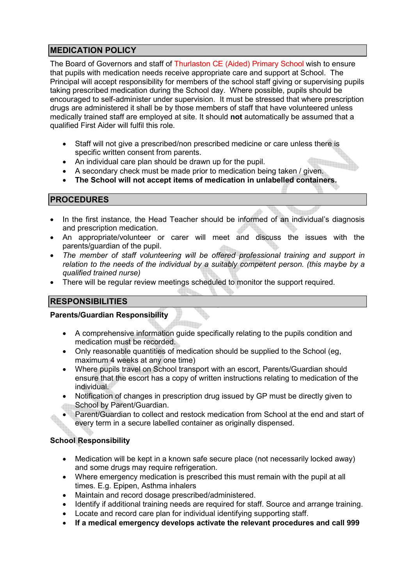## **MEDICATION POLICY**

The Board of Governors and staff of Thurlaston CE (Aided) Primary School wish to ensure that pupils with medication needs receive appropriate care and support at School. The Principal will accept responsibility for members of the school staff giving or supervising pupils taking prescribed medication during the School day. Where possible, pupils should be encouraged to self-administer under supervision. It must be stressed that where prescription drugs are administered it shall be by those members of staff that have volunteered unless medically trained staff are employed at site. It should **not** automatically be assumed that a qualified First Aider will fulfil this role.

- Staff will not give a prescribed/non prescribed medicine or care unless there is specific written consent from parents.
- An individual care plan should be drawn up for the pupil.
- A secondary check must be made prior to medication being taken / given.
- **The School will not accept items of medication in unlabelled containers.**

#### **PROCEDURES**

- In the first instance, the Head Teacher should be informed of an individual's diagnosis and prescription medication.
- An appropriate/volunteer or carer will meet and discuss the issues with the parents/guardian of the pupil.
- *The member of staff volunteering will be offered professional training and support in relation to the needs of the individual by a suitably competent person. (this maybe by a qualified trained nurse)*
- There will be regular review meetings scheduled to monitor the support required.

#### **RESPONSIBILITIES**

#### **Parents/Guardian Responsibility**

- A comprehensive information guide specifically relating to the pupils condition and medication must be recorded.
- Only reasonable quantities of medication should be supplied to the School (eg. maximum 4 weeks at any one time)
- Where pupils travel on School transport with an escort, Parents/Guardian should ensure that the escort has a copy of written instructions relating to medication of the individual.
- Notification of changes in prescription drug issued by GP must be directly given to School by Parent/Guardian.
- Parent/Guardian to collect and restock medication from School at the end and start of every term in a secure labelled container as originally dispensed.

#### **School Responsibility**

- Medication will be kept in a known safe secure place (not necessarily locked away) and some drugs may require refrigeration.
- Where emergency medication is prescribed this must remain with the pupil at all times. E.g. Epipen, Asthma inhalers
- Maintain and record dosage prescribed/administered.
- Identify if additional training needs are required for staff. Source and arrange training.
- Locate and record care plan for individual identifying supporting staff.
- **If a medical emergency develops activate the relevant procedures and call 999**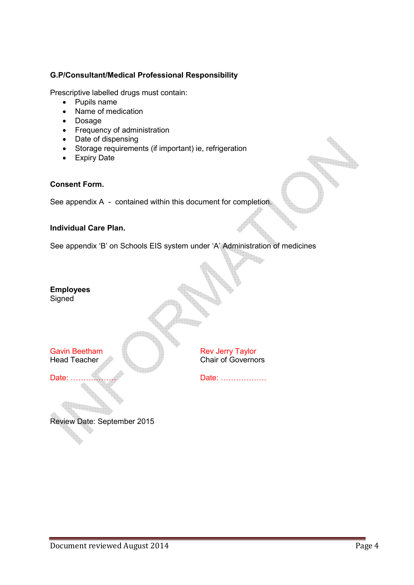#### **G.P/Consultant/Medical Professional Responsibility**

Prescriptive labelled drugs must contain:

- Pupils name
- Name of medication
- Dosage
- Frequency of administration
- Date of dispensing
- Storage requirements (if important) ie, refrigeration
- Expiry Date

#### **Consent Form.**

See appendix A - contained within this document for completion.

#### **Individual Care Plan.**

See appendix 'B' on Schools EIS system under 'A' Administration of medicines

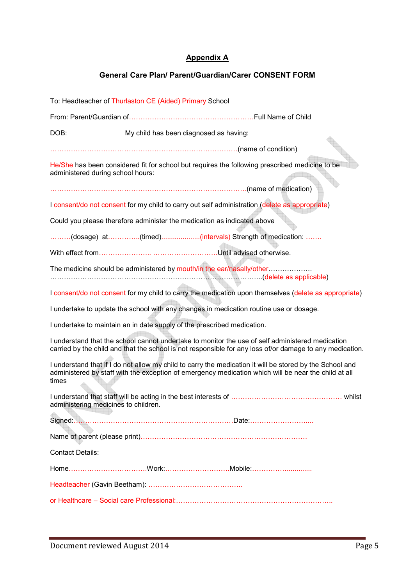#### **Appendix A**

#### **General Care Plan/ Parent/Guardian/Carer CONSENT FORM**

To: Headteacher of Thurlaston CE (Aided) Primary School From: Parent/Guardian of<<<<<<<<<<<<<<<<<<Full Name of Child DOB: My child has been diagnosed as having: <<<<<<<<<<<<<<<<<<<<<<<<<<<(name of condition) He/She has been considered fit for school but requires the following prescribed medicine to be administered during school hours: <<<<<<<<<<<<<<<<<<<<<<<<<<<<.(name of medication) I consent/do not consent for my child to carry out self administration (delete as appropriate) Could you please therefore administer the medication as indicated above .........(dosage) at..............(timed)....................(intervals) Strength of medication: ....... With effect from<<<<<<<.. <<<<<<<<<.Until advised otherwise. The medicine should be administered by mouth/in the ear/nasally/other<<<<<<. <<<<<<<<<<<<<<<<<<<<<<<<<<<<<<..(delete as applicable) I consent/do not consent for my child to carry the medication upon themselves (delete as appropriate) I undertake to update the school with any changes in medication routine use or dosage. I undertake to maintain an in date supply of the prescribed medication. I understand that the school cannot undertake to monitor the use of self administered medication carried by the child and that the school is not responsible for any loss of/or damage to any medication. I understand that if I do not allow my child to carry the medication it will be stored by the School and administered by staff with the exception of emergency medication which will be near the child at all times I understand that staff will be acting in the best interests of <<<<<<<<<<<<<<<< whilst administering medicines to children. Signed:<<<<<<<<<<<<<<<<<<<<<<<Date:<<<<<<<<.... Name of parent (please print)<<<<<<<<<<<<<<<<<<<<<<<< Contact Details: Home<<<<<<<<<<<.Work:<<<<<<<<<.Mobile:<<<<<............. Headteacher (Gavin Beetham): <<<<<<<<<<<<<.. or Healthcare – Social care Professional:<<<<<<<<<<<<<<<<<<<<<<..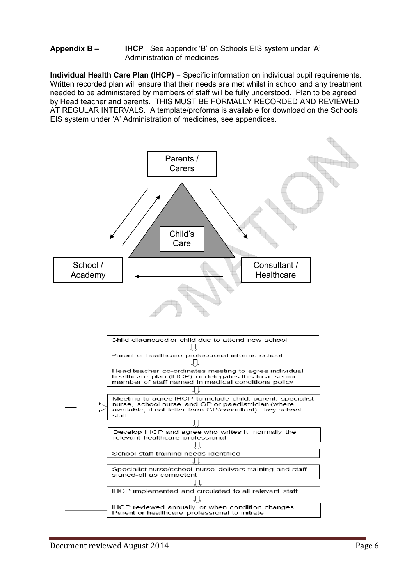#### **Appendix B – IHCP** See appendix 'B' on Schools EIS system under 'A' Administration of medicines

**Individual Health Care Plan (IHCP)** = Specific information on individual pupil requirements. Written recorded plan will ensure that their needs are met whilst in school and any treatment needed to be administered by members of staff will be fully understood. Plan to be agreed by Head teacher and parents. THIS MUST BE FORMALLY RECORDED AND REVIEWED AT REGULAR INTERVALS. A template/proforma is available for download on the Schools EIS system under 'A' Administration of medicines, see appendices.

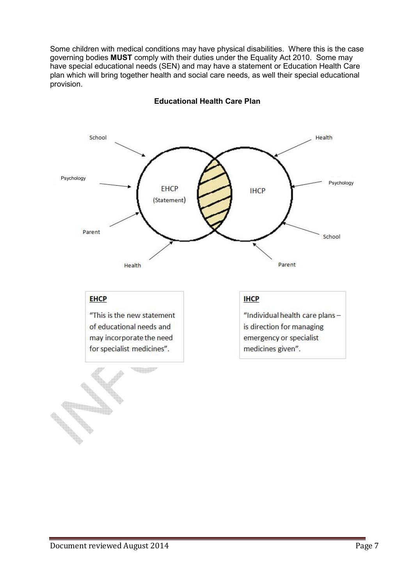Some children with medical conditions may have physical disabilities. Where this is the case governing bodies **MUST** comply with their duties under the Equality Act 2010. Some may have special educational needs (SEN) and may have a statement or Education Health Care plan which will bring together health and social care needs, as well their special educational provision.



#### **Educational Health Care Plan**

## **EHCP**

"This is the new statement of educational needs and may incorporate the need for specialist medicines".

**THIP** 

#### **IHCP**

"Individual health care plansis direction for managing emergency or specialist medicines given".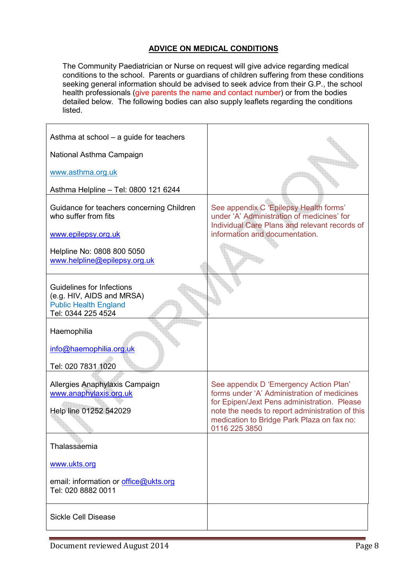### **ADVICE ON MEDICAL CONDITIONS**

The Community Paediatrician or Nurse on request will give advice regarding medical conditions to the school. Parents or guardians of children suffering from these conditions seeking general information should be advised to seek advice from their G.P., the school health professionals (give parents the name and contact number) or from the bodies detailed below. The following bodies can also supply leaflets regarding the conditions listed.

| Asthma at school – a guide for teachers                                                                      |                                                                                                                                                                                                                                                        |
|--------------------------------------------------------------------------------------------------------------|--------------------------------------------------------------------------------------------------------------------------------------------------------------------------------------------------------------------------------------------------------|
| National Asthma Campaign                                                                                     |                                                                                                                                                                                                                                                        |
| www.asthma.org.uk                                                                                            |                                                                                                                                                                                                                                                        |
| Asthma Helpline - Tel: 0800 121 6244                                                                         |                                                                                                                                                                                                                                                        |
| Guidance for teachers concerning Children<br>who suffer from fits                                            | See appendix C 'Epilepsy Health forms'<br>under 'A' Administration of medicines' for<br>Individual Care Plans and relevant records of                                                                                                                  |
| www.epilepsy.org.uk                                                                                          | information and documentation.                                                                                                                                                                                                                         |
| Helpline No: 0808 800 5050<br>www.helpline@epilepsy.org.uk                                                   |                                                                                                                                                                                                                                                        |
| Guidelines for Infections<br>(e.g. HIV, AIDS and MRSA)<br><b>Public Health England</b><br>Tel: 0344 225 4524 |                                                                                                                                                                                                                                                        |
| Haemophilia<br>info@haemophilia.org.uk                                                                       |                                                                                                                                                                                                                                                        |
| Tel: 020 7831 1020                                                                                           |                                                                                                                                                                                                                                                        |
| Allergies Anaphylaxis Campaign<br>www.anaphylaxis.org.uk<br>Help line 01252 542029                           | See appendix D 'Emergency Action Plan'<br>forms under 'A' Administration of medicines<br>for Epipen/Jext Pens administration. Please<br>note the needs to report administration of this<br>medication to Bridge Park Plaza on fax no:<br>0116 225 3850 |
| Thalassaemia                                                                                                 |                                                                                                                                                                                                                                                        |
| www.ukts.org                                                                                                 |                                                                                                                                                                                                                                                        |
| email: information or office@ukts.org<br>Tel: 020 8882 0011                                                  |                                                                                                                                                                                                                                                        |
| <b>Sickle Cell Disease</b>                                                                                   |                                                                                                                                                                                                                                                        |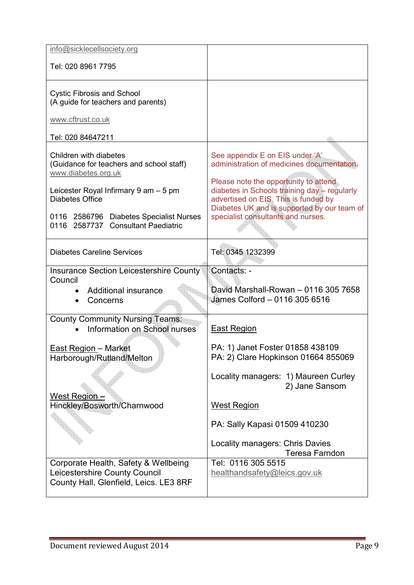| info@sicklecellsociety.org                                                                                      |                                                                                                                                                                              |
|-----------------------------------------------------------------------------------------------------------------|------------------------------------------------------------------------------------------------------------------------------------------------------------------------------|
| Tel: 020 8961 7795                                                                                              |                                                                                                                                                                              |
| <b>Cystic Fibrosis and School</b><br>(A guide for teachers and parents)                                         |                                                                                                                                                                              |
| www.cftrust.co.uk                                                                                               |                                                                                                                                                                              |
| Tel: 020 84647211                                                                                               |                                                                                                                                                                              |
| Children with diabetes<br>(Guidance for teachers and school staff)<br>www.diabetes.org.uk                       | See appendix E on EIS under 'A'<br>administration of medicines documentation.                                                                                                |
| Leicester Royal Infirmary 9 am - 5 pm<br><b>Diabetes Office</b>                                                 | Please note the opportunity to attend<br>diabetes in Schools training day - regularly<br>advertised on EIS. This is funded by<br>Diabetes UK and is supported by our team of |
| 0116 2586796 Diabetes Specialist Nurses<br><b>Consultant Paediatric</b><br>0116 2587737                         | specialist consultants and nurses.                                                                                                                                           |
| <b>Diabetes Careline Services</b>                                                                               | Tel: 0345 1232399                                                                                                                                                            |
| Insurance Section Leicestershire County<br>Council                                                              | Contacts: -                                                                                                                                                                  |
| Additional insurance<br>Concerns                                                                                | David Marshall-Rowan - 0116 305 7658<br>James Colford - 0116 305 6516                                                                                                        |
| <b>County Community Nursing Teams:</b><br>Information on School nurses                                          | <b>East Region</b>                                                                                                                                                           |
| <b>East Region - Market</b><br>Harborough/Rutland/Melton                                                        | PA: 1) Janet Foster 01858 438109<br>PA: 2) Clare Hopkinson 01664 855069                                                                                                      |
|                                                                                                                 | Locality managers: 1) Maureen Curley<br>2) Jane Sansom                                                                                                                       |
| West Region -<br>Hinckley/Bosworth/Charnwood                                                                    | <b>West Region</b>                                                                                                                                                           |
|                                                                                                                 | PA: Sally Kapasi 01509 410230                                                                                                                                                |
|                                                                                                                 | <b>Locality managers: Chris Davies</b><br><b>Teresa Farndon</b>                                                                                                              |
| Corporate Health, Safety & Wellbeing<br>Leicestershire County Council<br>County Hall, Glenfield, Leics. LE3 8RF | Tel: 0116 305 5515<br>healthandsafety@leics.gov.uk                                                                                                                           |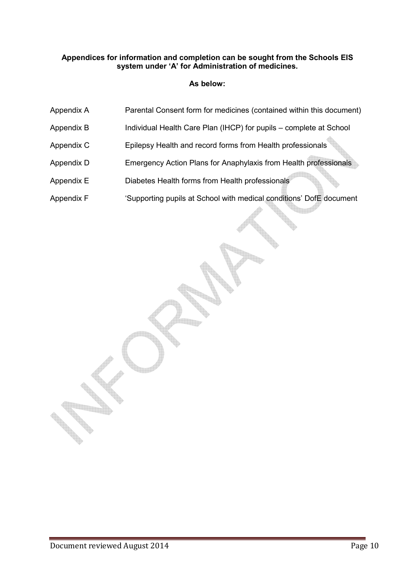#### **Appendices for information and completion can be sought from the Schools EIS system under 'A' for Administration of medicines.**

#### **As below:**

- Appendix A Parental Consent form for medicines (contained within this document)
- Appendix B Individual Health Care Plan (IHCP) for pupils complete at School
- Appendix C Epilepsy Health and record forms from Health professionals
- Appendix D Emergency Action Plans for Anaphylaxis from Health professionals
- Appendix E Diabetes Health forms from Health professionals
- Appendix F 'Supporting pupils at School with medical conditions' DofE document